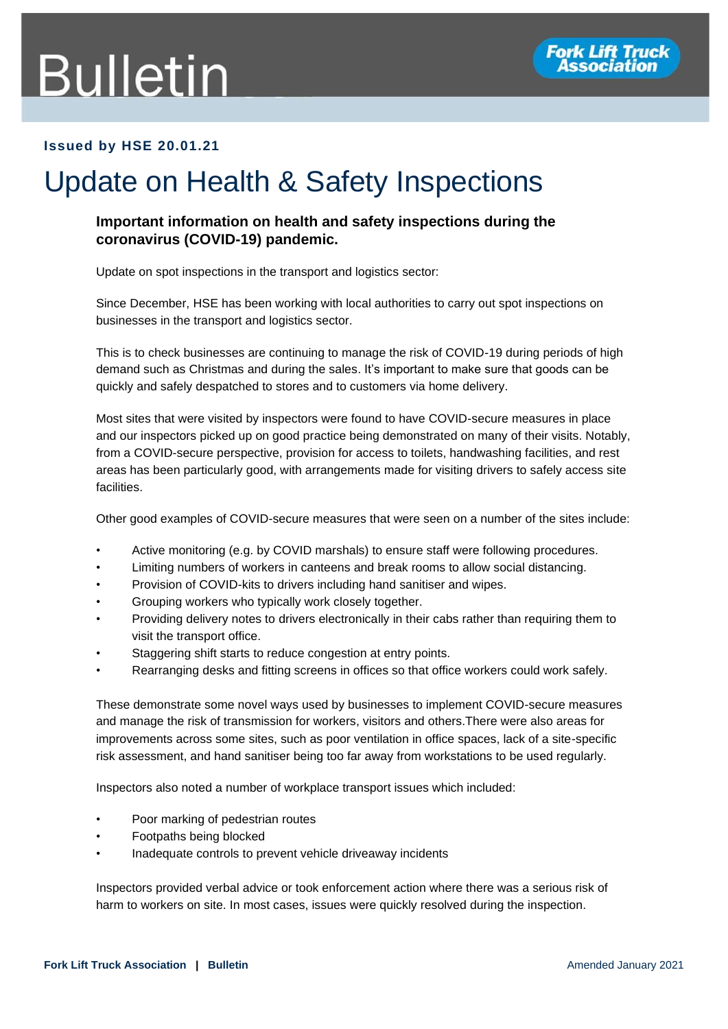## **Bulletin**



## **Issued by HSE 20.01.21**

## Update on Health & Safety Inspections

## **Important information on health and safety inspections during the coronavirus (COVID-19) pandemic.**

Update on spot inspections in the transport and logistics sector:

Since December, HSE has been working with local authorities to carry out spot inspections on businesses in the transport and logistics sector.

This is to check businesses are continuing to manage the risk of COVID-19 during periods of high demand such as Christmas and during the sales. It's important to make sure that goods can be quickly and safely despatched to stores and to customers via home delivery.

Most sites that were visited by inspectors were found to have COVID-secure measures in place and our inspectors picked up on good practice being demonstrated on many of their visits. Notably, from a COVID-secure perspective, provision for access to toilets, handwashing facilities, and rest areas has been particularly good, with arrangements made for visiting drivers to safely access site facilities.

Other good examples of COVID-secure measures that were seen on a number of the sites include:

- Active monitoring (e.g. by COVID marshals) to ensure staff were following procedures.
- Limiting numbers of workers in canteens and break rooms to allow social distancing.
- Provision of COVID-kits to drivers including hand sanitiser and wipes.
- Grouping workers who typically work closely together.
- Providing delivery notes to drivers electronically in their cabs rather than requiring them to visit the transport office.
- Staggering shift starts to reduce congestion at entry points.
- Rearranging desks and fitting screens in offices so that office workers could work safely.

These demonstrate some novel ways used by businesses to implement COVID-secure measures and manage the risk of transmission for workers, visitors and others.There were also areas for improvements across some sites, such as poor ventilation in office spaces, lack of a site-specific risk assessment, and hand sanitiser being too far away from workstations to be used regularly.

Inspectors also noted a number of workplace transport issues which included:

- Poor marking of pedestrian routes
- Footpaths being blocked
- Inadequate controls to prevent vehicle driveaway incidents

Inspectors provided verbal advice or took enforcement action where there was a serious risk of harm to workers on site. In most cases, issues were quickly resolved during the inspection.